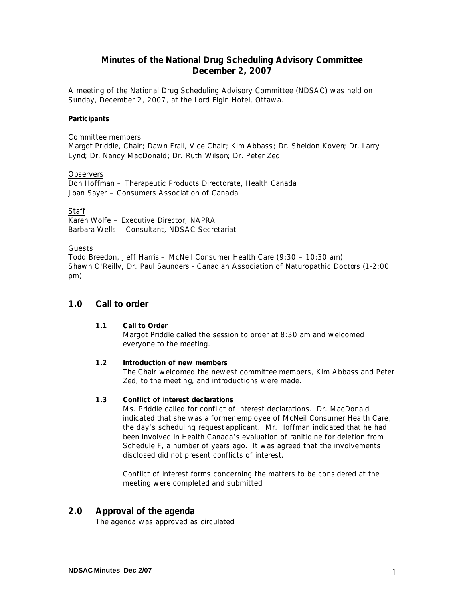# **Minutes of the National Drug Scheduling Advisory Committee December 2, 2007**

A meeting of the National Drug Scheduling Advisory Committee (NDSAC) was held on Sunday, December 2, 2007, at the Lord Elgin Hotel, Ottawa.

#### **Participants**

### Committee members

Margot Priddle, Chair; Dawn Frail, Vice Chair; Kim Abbass; Dr. Sheldon Koven; Dr. Larry Lynd; Dr. Nancy MacDonald; Dr. Ruth Wilson; Dr. Peter Zed

#### **Observers**

Don Hoffman – Therapeutic Products Directorate, Health Canada Joan Sayer – Consumers Association of Canada

#### **Staff**

Karen Wolfe – Executive Director, NAPRA Barbara Wells – Consultant, NDSAC Secretariat

#### Guests

Todd Breedon, Jeff Harris – McNeil Consumer Health Care (9:30 – 10:30 am) Shawn O'Reilly, Dr. Paul Saunders - Canadian Association of Naturopathic Doctors (1-2:00 pm)

### **1.0 Call to order**

### **1.1 Call to Order**

Margot Priddle called the session to order at 8:30 am and welcomed everyone to the meeting.

#### **1.2 Introduction of new members**

The Chair welcomed the newest committee members, Kim Abbass and Peter Zed, to the meeting, and introductions were made.

#### **1.3 Conflict of interest declarations**

Ms. Priddle called for conflict of interest declarations. Dr. MacDonald indicated that she was a former employee of McNeil Consumer Health Care, the day's scheduling request applicant. Mr. Hoffman indicated that he had been involved in Health Canada's evaluation of ranitidine for deletion from Schedule F, a number of years ago. It was agreed that the involvements disclosed did not present conflicts of interest.

Conflict of interest forms concerning the matters to be considered at the meeting were completed and submitted.

# **2.0 Approval of the agenda**

The agenda was approved as circulated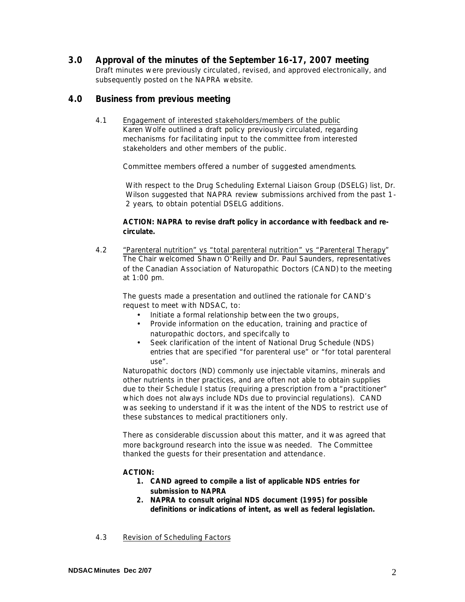# **3.0 Approval of the minutes of the September 16-17, 2007 meeting**

Draft minutes were previously circulated, revised, and approved electronically, and subsequently posted on t he NAPRA website.

# **4.0 Business from previous meeting**

4.1 Engagement of interested stakeholders/members of the public Karen Wolfe outlined a draft policy previously circulated, regarding mechanisms for facilitating input to the committee from interested stakeholders and other members of the public.

Committee members offered a number of suggested amendments.

With respect to the Drug Scheduling External Liaison Group (DSELG) list, Dr. Wilson suggested that NAPRA review submissions archived from the past 1- 2 years, to obtain potential DSELG additions.

### **ACTION: NAPRA to revise draft policy in accordance with feedback and recirculate.**

4.2 "Parenteral nutrition" vs "total parenteral nutrition" vs "Parenteral Therapy" The Chair welcomed Shawn O'Reilly and Dr. Paul Saunders, representatives of the Canadian Association of Naturopathic Doctors (CAND) to the meeting at 1:00 pm.

The guests made a presentation and outlined the rationale for CAND's request to meet with NDSAC, to:

- Initiate a formal relationship between the two groups,
- Provide information on the education, training and practice of naturopathic doctors, and specifcally to
- Seek clarification of the intent of National Drug Schedule (NDS) entries that are specified "for parenteral use" or "for total parenteral use".

Naturopathic doctors (ND) commonly use injectable vitamins, minerals and other nutrients in ther practices, and are often not able to obtain supplies due to their Schedule I status (requiring a prescription from a "practitioner" which does not always include NDs due to provincial regulations). CAND was seeking to understand if it was the intent of the NDS to restrict use of these substances to medical practitioners only.

There as considerable discussion about this matter, and it was agreed that more background research into the issue was needed. The Committee thanked the guests for their presentation and attendance.

#### **ACTION:**

- **1. CAND agreed to compile a list of applicable NDS entries for submission to NAPRA**
- **2. NAPRA to consult original NDS document (1995) for possible definitions or indications of intent, as well as federal legislation.**
- 4.3 Revision of Scheduling Factors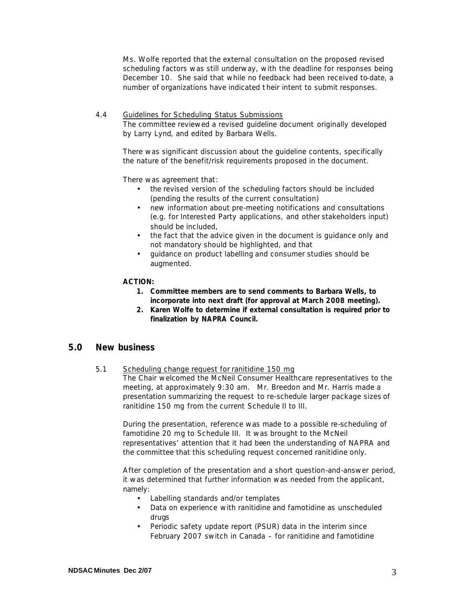Ms. Wolfe reported that the external consultation on the proposed revised scheduling factors was still underway, with the deadline for responses being December 10. She said that while no feedback had been received to-date, a number of organizations have indicated t heir intent to submit responses.

## 4.4 Guidelines for Scheduling Status Submissions

The committee reviewed a revised guideline document originally developed by Larry Lynd, and edited by Barbara Wells.

There was significant discussion about the guideline contents, specifically the nature of the benefit/risk requirements proposed in the document.

There was agreement that:

- the revised version of the scheduling factors should be included (pending the results of the current consultation)
- new information about pre-meeting notifications and consultations (e.g. for Interested Party applications, and other stakeholders input) should be included,
- the fact that the advice given in the document is guidance only and not mandatory should be highlighted, and that
- guidance on product labelling and consumer studies should be augmented.

### **ACTION:**

- **1. Committee members are to send comments to Barbara Wells, to incorporate into next draft (for approval at March 2008 meeting).**
- **2. Karen Wolfe to determine if external consultation is required prior to finalization by NAPRA Council.**

# **5.0 New business**

#### 5.1 Scheduling change request for ranitidine 150 mg

The Chair welcomed the McNeil Consumer Healthcare representatives to the meeting, at approximately 9:30 am. Mr. Breedon and Mr. Harris made a presentation summarizing the request to re-schedule larger package sizes of ranitidine 150 mg from the current Schedule II to III.

During the presentation, reference was made to a possible re-scheduling of famotidine 20 mg to Schedule III. It was brought to the McNeil representatives' attention that it had been the understanding of NAPRA and the committee that this scheduling request concerned ranitidine only.

After completion of the presentation and a short question-and-answer period, it was determined that further information was needed from the applicant, namely:

- Labelling standards and/or templates
- Data on experience with ranitidine and famotidine as unscheduled drugs
- Periodic safety update report (PSUR) data in the interim since February 2007 switch in Canada – for ranitidine and famotidine